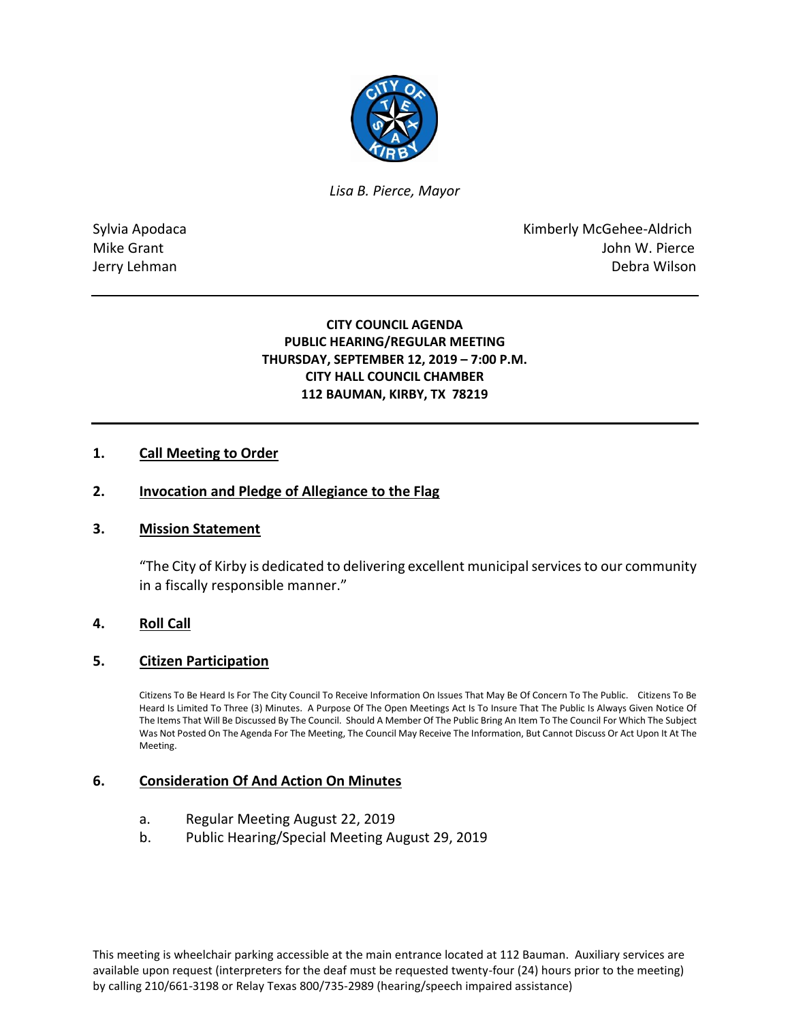

*Lisa B. Pierce, Mayor* 

Sylvia Apodaca **Kimberly McGehee-Aldrich** Mike Grant **Mike Grant** John W. Pierce Jerry Lehman Debra Wilson

## **CITY COUNCIL AGENDA PUBLIC HEARING/REGULAR MEETING THURSDAY, SEPTEMBER 12, 2019 – 7:00 P.M. CITY HALL COUNCIL CHAMBER 112 BAUMAN, KIRBY, TX 78219**

# **1. Call Meeting to Order**

### **2. Invocation and Pledge of Allegiance to the Flag**

### **3. Mission Statement**

"The City of Kirby is dedicated to delivering excellent municipal services to our community in a fiscally responsible manner."

### **4. Roll Call**

### **5. Citizen Participation**

Citizens To Be Heard Is For The City Council To Receive Information On Issues That May Be Of Concern To The Public. Citizens To Be Heard Is Limited To Three (3) Minutes. A Purpose Of The Open Meetings Act Is To Insure That The Public Is Always Given Notice Of The Items That Will Be Discussed By The Council. Should A Member Of The Public Bring An Item To The Council For Which The Subject Was Not Posted On The Agenda For The Meeting, The Council May Receive The Information, But Cannot Discuss Or Act Upon It At The Meeting.

### **6. Consideration Of And Action On Minutes**

- a. Regular Meeting August 22, 2019
- b. Public Hearing/Special Meeting August 29, 2019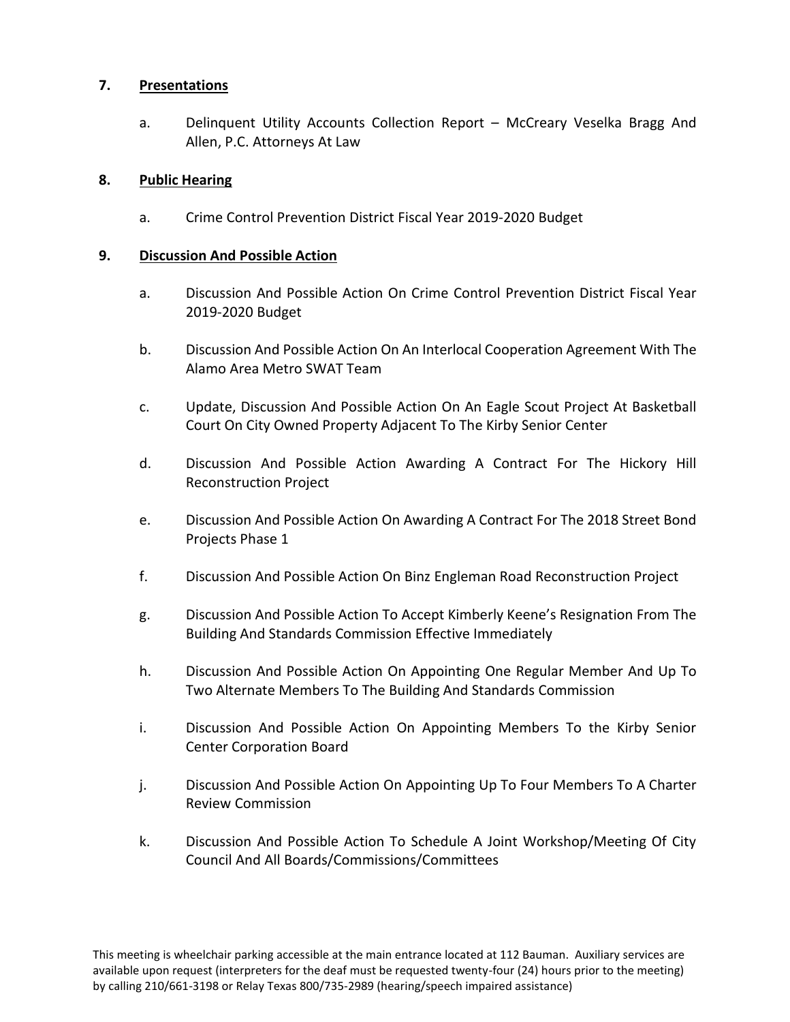# **7. Presentations**

a. Delinquent Utility Accounts Collection Report – McCreary Veselka Bragg And Allen, P.C. Attorneys At Law

# **8. Public Hearing**

a. Crime Control Prevention District Fiscal Year 2019-2020 Budget

# **9. Discussion And Possible Action**

- a. Discussion And Possible Action On Crime Control Prevention District Fiscal Year 2019-2020 Budget
- b. Discussion And Possible Action On An Interlocal Cooperation Agreement With The Alamo Area Metro SWAT Team
- c. Update, Discussion And Possible Action On An Eagle Scout Project At Basketball Court On City Owned Property Adjacent To The Kirby Senior Center
- d. Discussion And Possible Action Awarding A Contract For The Hickory Hill Reconstruction Project
- e. Discussion And Possible Action On Awarding A Contract For The 2018 Street Bond Projects Phase 1
- f. Discussion And Possible Action On Binz Engleman Road Reconstruction Project
- g. Discussion And Possible Action To Accept Kimberly Keene's Resignation From The Building And Standards Commission Effective Immediately
- h. Discussion And Possible Action On Appointing One Regular Member And Up To Two Alternate Members To The Building And Standards Commission
- i. Discussion And Possible Action On Appointing Members To the Kirby Senior Center Corporation Board
- j. Discussion And Possible Action On Appointing Up To Four Members To A Charter Review Commission
- k. Discussion And Possible Action To Schedule A Joint Workshop/Meeting Of City Council And All Boards/Commissions/Committees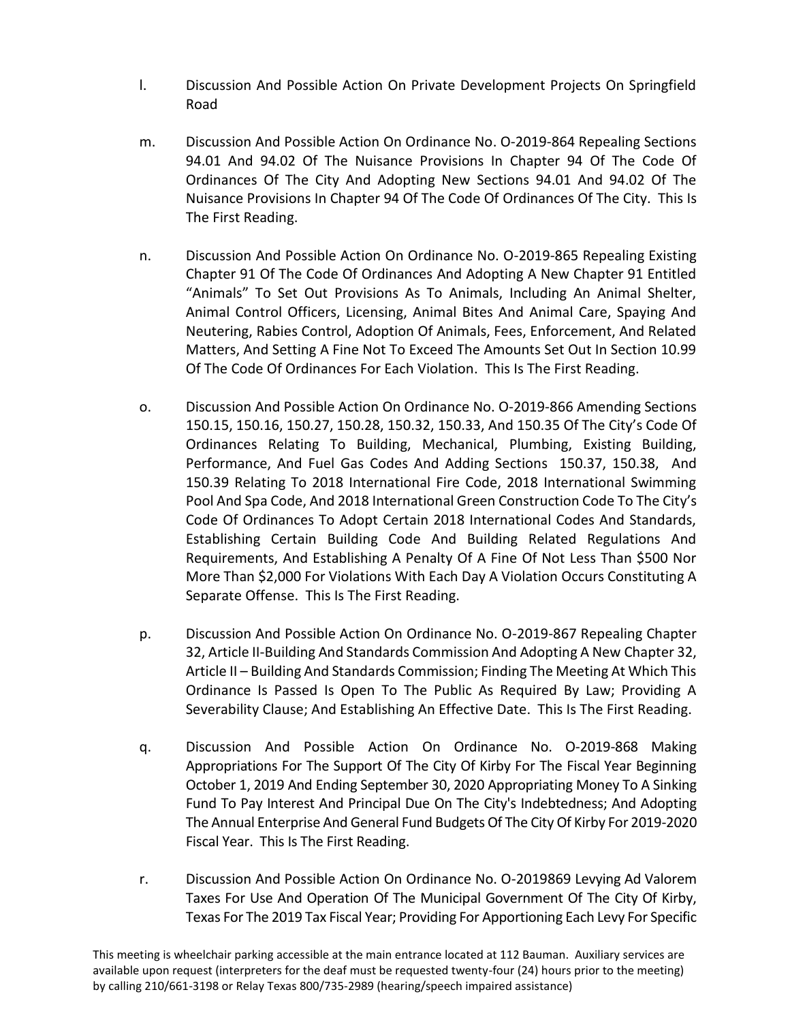- l. Discussion And Possible Action On Private Development Projects On Springfield Road
- m. Discussion And Possible Action On Ordinance No. O-2019-864 Repealing Sections 94.01 And 94.02 Of The Nuisance Provisions In Chapter 94 Of The Code Of Ordinances Of The City And Adopting New Sections 94.01 And 94.02 Of The Nuisance Provisions In Chapter 94 Of The Code Of Ordinances Of The City. This Is The First Reading.
- n. Discussion And Possible Action On Ordinance No. O-2019-865 Repealing Existing Chapter 91 Of The Code Of Ordinances And Adopting A New Chapter 91 Entitled "Animals" To Set Out Provisions As To Animals, Including An Animal Shelter, Animal Control Officers, Licensing, Animal Bites And Animal Care, Spaying And Neutering, Rabies Control, Adoption Of Animals, Fees, Enforcement, And Related Matters, And Setting A Fine Not To Exceed The Amounts Set Out In Section 10.99 Of The Code Of Ordinances For Each Violation. This Is The First Reading.
- o. Discussion And Possible Action On Ordinance No. O-2019-866 Amending Sections 150.15, 150.16, 150.27, 150.28, 150.32, 150.33, And 150.35 Of The City's Code Of Ordinances Relating To Building, Mechanical, Plumbing, Existing Building, Performance, And Fuel Gas Codes And Adding Sections 150.37, 150.38, And 150.39 Relating To 2018 International Fire Code, 2018 International Swimming Pool And Spa Code, And 2018 International Green Construction Code To The City's Code Of Ordinances To Adopt Certain 2018 International Codes And Standards, Establishing Certain Building Code And Building Related Regulations And Requirements, And Establishing A Penalty Of A Fine Of Not Less Than \$500 Nor More Than \$2,000 For Violations With Each Day A Violation Occurs Constituting A Separate Offense. This Is The First Reading.
- p. Discussion And Possible Action On Ordinance No. O-2019-867 Repealing Chapter 32, Article II-Building And Standards Commission And Adopting A New Chapter 32, Article II – Building And Standards Commission; Finding The Meeting At Which This Ordinance Is Passed Is Open To The Public As Required By Law; Providing A Severability Clause; And Establishing An Effective Date. This Is The First Reading.
- q. Discussion And Possible Action On Ordinance No. O-2019-868 Making Appropriations For The Support Of The City Of Kirby For The Fiscal Year Beginning October 1, 2019 And Ending September 30, 2020 Appropriating Money To A Sinking Fund To Pay Interest And Principal Due On The City's Indebtedness; And Adopting The Annual Enterprise And General Fund Budgets Of The City Of Kirby For 2019-2020 Fiscal Year. This Is The First Reading.
- r. Discussion And Possible Action On Ordinance No. O-2019869 Levying Ad Valorem Taxes For Use And Operation Of The Municipal Government Of The City Of Kirby, Texas For The 2019 Tax Fiscal Year; Providing For Apportioning Each Levy For Specific